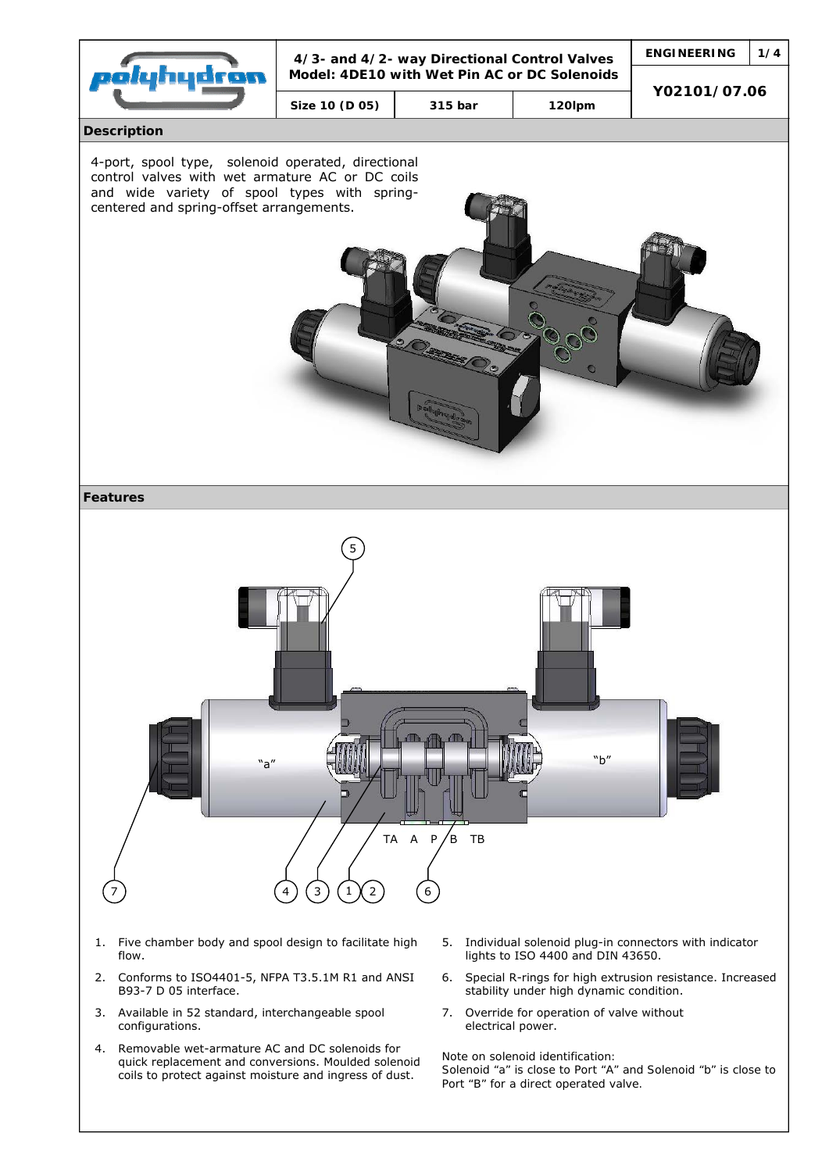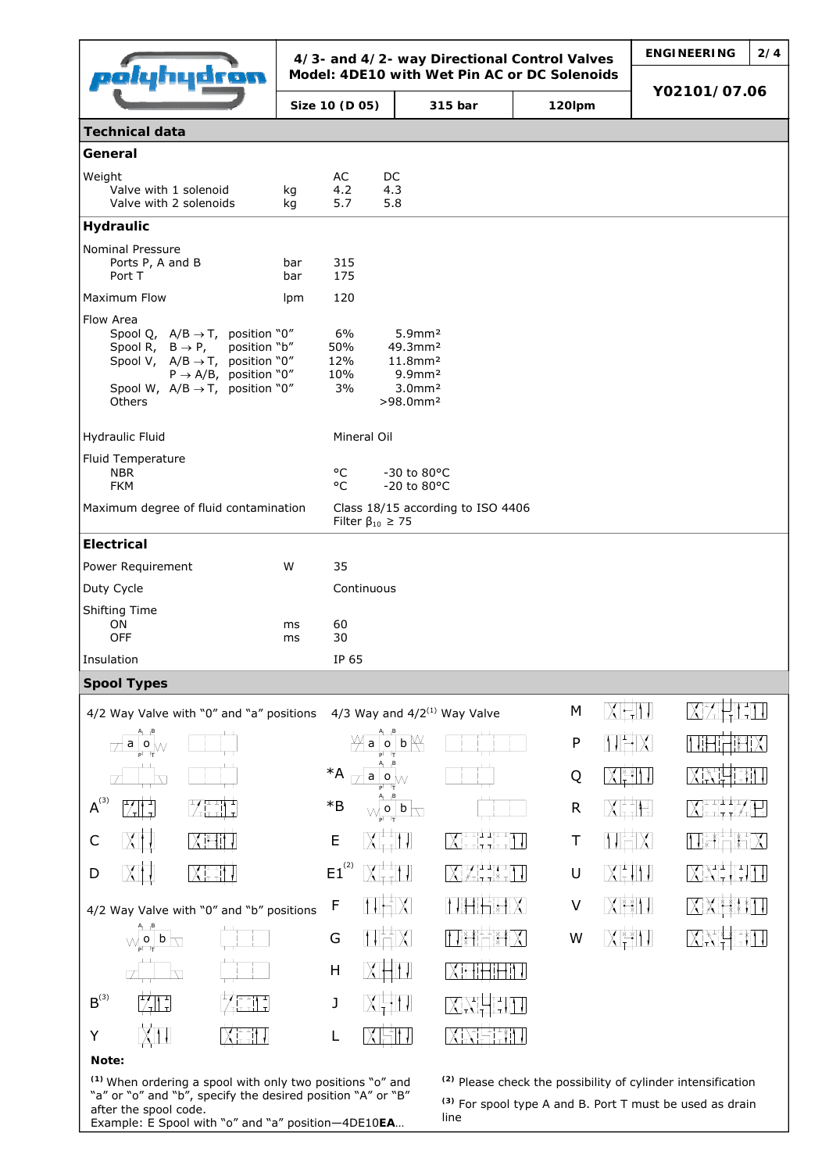|                                                                                                                                                                                                                                                        | 4/3- and 4/2- way Directional Control Valves |                               |                                          |                                                                                                                                          |                                                             |        |  |                                                                         | <b>ENGINEERING</b> | 2/4 |
|--------------------------------------------------------------------------------------------------------------------------------------------------------------------------------------------------------------------------------------------------------|----------------------------------------------|-------------------------------|------------------------------------------|------------------------------------------------------------------------------------------------------------------------------------------|-------------------------------------------------------------|--------|--|-------------------------------------------------------------------------|--------------------|-----|
| <b>RAFTE BERG</b><br>$\mathbf{L}$                                                                                                                                                                                                                      | Model: 4DE10 with Wet Pin AC or DC Solenoids |                               |                                          |                                                                                                                                          |                                                             |        |  |                                                                         | Y02101/07.06       |     |
|                                                                                                                                                                                                                                                        |                                              | Size 10 (D 05)                |                                          | 315 bar                                                                                                                                  |                                                             | 120lpm |  |                                                                         |                    |     |
| <b>Technical data</b>                                                                                                                                                                                                                                  |                                              |                               |                                          |                                                                                                                                          |                                                             |        |  |                                                                         |                    |     |
| General                                                                                                                                                                                                                                                |                                              |                               |                                          |                                                                                                                                          |                                                             |        |  |                                                                         |                    |     |
| Weight<br>Valve with 1 solenoid<br>Valve with 2 solenoids                                                                                                                                                                                              | kg<br>kg                                     | AC<br>4.2<br>5.7              | DC<br>4.3<br>5.8                         |                                                                                                                                          |                                                             |        |  |                                                                         |                    |     |
| Hydraulic                                                                                                                                                                                                                                              |                                              |                               |                                          |                                                                                                                                          |                                                             |        |  |                                                                         |                    |     |
| Nominal Pressure<br>Ports P, A and B<br>Port T                                                                                                                                                                                                         | bar<br>bar                                   | 315<br>175                    |                                          |                                                                                                                                          |                                                             |        |  |                                                                         |                    |     |
| <b>Maximum Flow</b>                                                                                                                                                                                                                                    | Ipm                                          | 120                           |                                          |                                                                                                                                          |                                                             |        |  |                                                                         |                    |     |
| Flow Area<br>Spool Q, $A/B \rightarrow T$ , position "0"<br>position "b"<br>Spool R, $B \rightarrow P$ ,<br>Spool V, $A/B \rightarrow T$ , position "0"<br>$P \rightarrow A/B$ , position "0"<br>Spool W, $A/B \rightarrow T$ , position "0"<br>Others |                                              | 6%<br>50%<br>12%<br>10%<br>3% |                                          | 5.9mm <sup>2</sup><br>49.3mm <sup>2</sup><br>11.8mm <sup>2</sup><br>$9.9$ mm <sup>2</sup><br>3.0 <sup>m</sup><br>$>98.0$ mm <sup>2</sup> |                                                             |        |  |                                                                         |                    |     |
| Hydraulic Fluid                                                                                                                                                                                                                                        |                                              |                               | Mineral Oil                              |                                                                                                                                          |                                                             |        |  |                                                                         |                    |     |
| Fluid Temperature<br><b>NBR</b><br><b>FKM</b>                                                                                                                                                                                                          |                                              | °C<br>°C                      |                                          | $-30$ to $80^{\circ}$ C<br>$-20$ to 80 $\degree$ C                                                                                       |                                                             |        |  |                                                                         |                    |     |
| Maximum degree of fluid contamination                                                                                                                                                                                                                  |                                              |                               | Filter $\beta_{10} \geq 75$              | Class 18/15 according to ISO 4406                                                                                                        |                                                             |        |  |                                                                         |                    |     |
| <b>Electrical</b>                                                                                                                                                                                                                                      |                                              |                               |                                          |                                                                                                                                          |                                                             |        |  |                                                                         |                    |     |
| W<br>Power Requirement                                                                                                                                                                                                                                 |                                              | 35                            |                                          |                                                                                                                                          |                                                             |        |  |                                                                         |                    |     |
| Duty Cycle<br>Shifting Time                                                                                                                                                                                                                            |                                              |                               | Continuous                               |                                                                                                                                          |                                                             |        |  |                                                                         |                    |     |
| ON                                                                                                                                                                                                                                                     | ms                                           | 60                            |                                          |                                                                                                                                          |                                                             |        |  |                                                                         |                    |     |
| OFF<br><b>Insulation</b>                                                                                                                                                                                                                               | ms                                           | 30<br>TP 65                   |                                          |                                                                                                                                          |                                                             |        |  |                                                                         |                    |     |
| <b>Spool Types</b>                                                                                                                                                                                                                                     |                                              |                               |                                          |                                                                                                                                          |                                                             |        |  |                                                                         |                    |     |
| 4/2 Way Valve with "0" and "a" positions                                                                                                                                                                                                               |                                              |                               |                                          | 4/3 Way and $4/2^{(1)}$ Way Valve                                                                                                        |                                                             | M      |  |                                                                         |                    |     |
| $a o _{\mathcal{W}}$                                                                                                                                                                                                                                   |                                              |                               | 0<br>a                                   | b                                                                                                                                        |                                                             | P      |  |                                                                         |                    |     |
|                                                                                                                                                                                                                                                        |                                              | $^*A$                         | a<br>o                                   |                                                                                                                                          |                                                             | Q      |  |                                                                         |                    |     |
| $A^{^{(3)}}$                                                                                                                                                                                                                                           |                                              | $*B$                          | $\overline{\circ}$   b $\overline{\Box}$ |                                                                                                                                          |                                                             | R      |  |                                                                         |                    |     |
| C                                                                                                                                                                                                                                                      |                                              | E                             |                                          |                                                                                                                                          | $\chi _{\tau^{-1}}^{\frac{1}{1-\tau+1}+\frac{1}{1+\tau+1}}$ | Т      |  |                                                                         |                    |     |
| D                                                                                                                                                                                                                                                      |                                              | $\mathsf{E1}^{^{(2)}}$        | IX                                       |                                                                                                                                          |                                                             | U      |  |                                                                         |                    |     |
| 4/2 Way Valve with "0" and "b" positions                                                                                                                                                                                                               |                                              | F                             |                                          |                                                                                                                                          |                                                             | V      |  |                                                                         |                    |     |
| o   b                                                                                                                                                                                                                                                  |                                              | G                             |                                          |                                                                                                                                          |                                                             | W      |  |                                                                         |                    |     |
|                                                                                                                                                                                                                                                        |                                              | H                             |                                          |                                                                                                                                          |                                                             |        |  |                                                                         |                    |     |
| $B^{(3)}$                                                                                                                                                                                                                                              |                                              | J                             |                                          |                                                                                                                                          |                                                             |        |  |                                                                         |                    |     |
| Υ                                                                                                                                                                                                                                                      |                                              | L                             |                                          |                                                                                                                                          |                                                             |        |  |                                                                         |                    |     |
| Note:                                                                                                                                                                                                                                                  |                                              |                               |                                          |                                                                                                                                          |                                                             |        |  |                                                                         |                    |     |
| <sup>(1)</sup> When ordering a spool with only two positions "o" and<br>"a" or "o" and "b", specify the desired position "A" or "B"                                                                                                                    |                                              |                               | (2)                                      |                                                                                                                                          |                                                             |        |  | <sup>(2)</sup> Please check the possibility of cylinder intensification |                    |     |

after the spool code. Example: E Spool with "o" and "a" position—4DE10**EA**…

**(3)** For spool type A and B. Port T must be used as drain line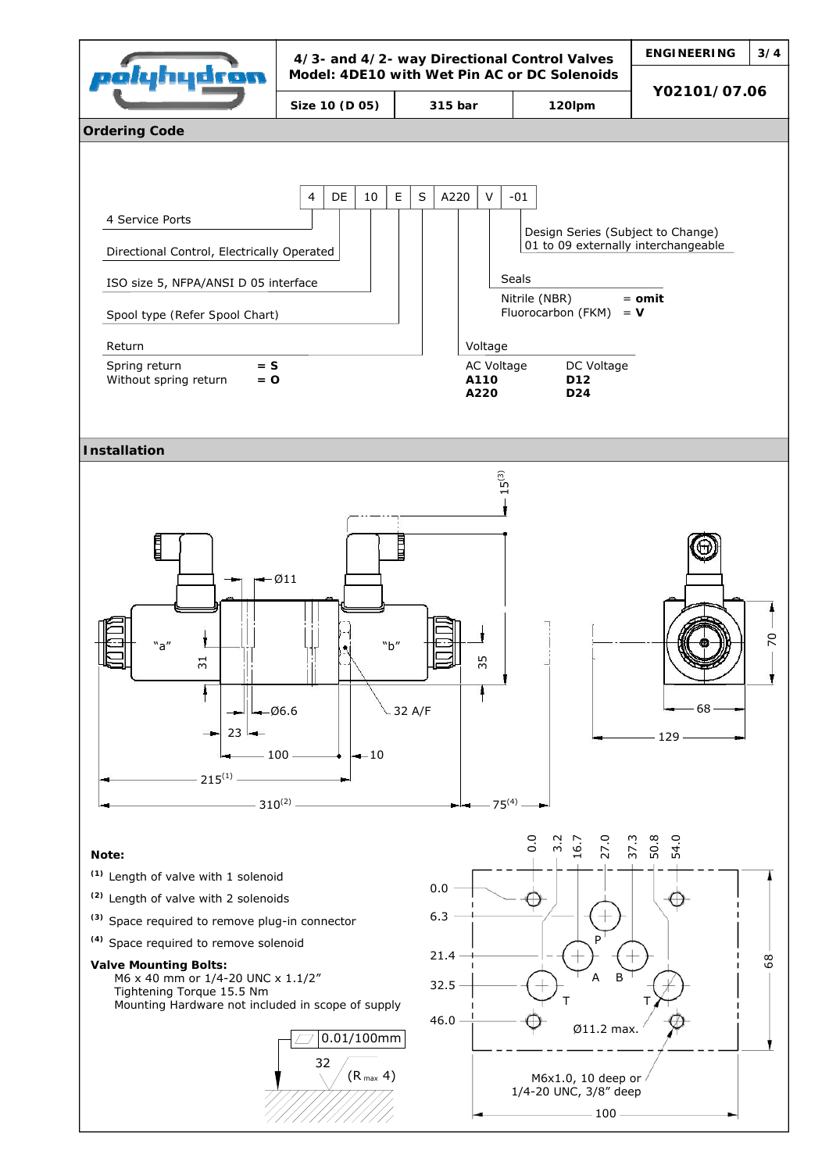